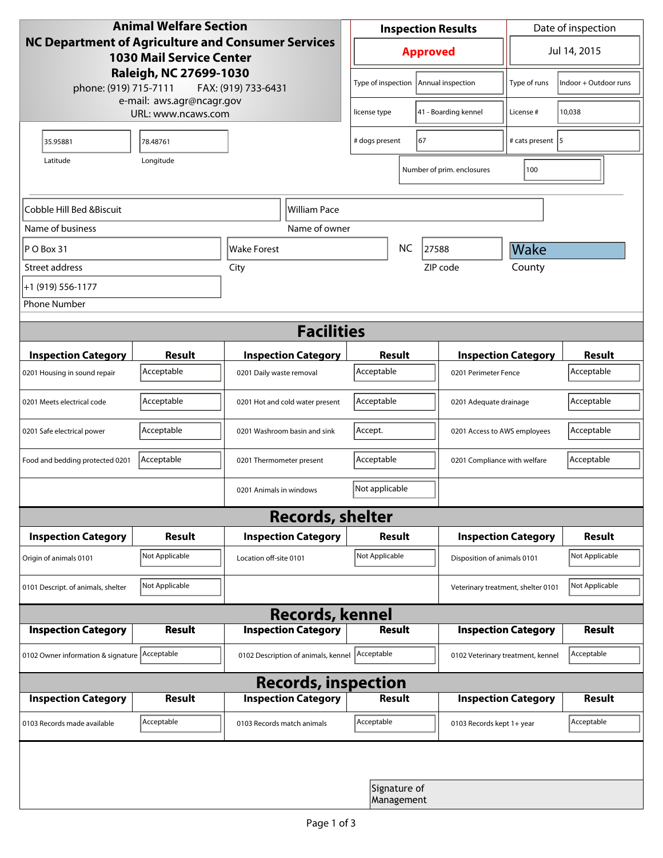| <b>Animal Welfare Section</b><br><b>NC Department of Agriculture and Consumer Services</b><br><b>1030 Mail Service Center</b><br>Raleigh, NC 27699-1030<br>phone: (919) 715-7111<br>FAX: (919) 733-6431 |                |                                     | <b>Inspection Results</b>               |                            |                                    | Date of inspection           |                |  |
|---------------------------------------------------------------------------------------------------------------------------------------------------------------------------------------------------------|----------------|-------------------------------------|-----------------------------------------|----------------------------|------------------------------------|------------------------------|----------------|--|
|                                                                                                                                                                                                         |                |                                     | <b>Approved</b>                         |                            |                                    | Jul 14, 2015                 |                |  |
|                                                                                                                                                                                                         |                |                                     | Type of inspection<br>Annual inspection |                            | Type of runs                       | Indoor + Outdoor runs        |                |  |
| e-mail: aws.agr@ncagr.gov<br>URL: www.ncaws.com                                                                                                                                                         |                |                                     | 41 - Boarding kennel<br>license type    |                            | License #                          | 10,038                       |                |  |
| 35.95881                                                                                                                                                                                                | 78.48761       |                                     | 67<br># dogs present                    |                            |                                    | # cats present   5           |                |  |
| Longitude<br>Latitude                                                                                                                                                                                   |                |                                     |                                         |                            | Number of prim. enclosures         | 100                          |                |  |
| Cobble Hill Bed &Biscuit<br>William Pace                                                                                                                                                                |                |                                     |                                         |                            |                                    |                              |                |  |
| Name of business                                                                                                                                                                                        |                | Name of owner                       |                                         |                            |                                    |                              |                |  |
| $ P O B$ ox 31                                                                                                                                                                                          |                | Wake Forest                         | <b>NC</b>                               |                            | 27588                              | Wake                         |                |  |
| Street address                                                                                                                                                                                          |                | City                                |                                         |                            | ZIP code                           | County                       |                |  |
| +1 (919) 556-1177                                                                                                                                                                                       |                |                                     |                                         |                            |                                    |                              |                |  |
| <b>Phone Number</b>                                                                                                                                                                                     |                |                                     |                                         |                            |                                    |                              |                |  |
| <b>Facilities</b>                                                                                                                                                                                       |                |                                     |                                         |                            |                                    |                              |                |  |
| <b>Inspection Category</b>                                                                                                                                                                              | <b>Result</b>  | <b>Inspection Category</b>          | <b>Result</b>                           |                            |                                    | <b>Inspection Category</b>   | <b>Result</b>  |  |
| 0201 Housing in sound repair                                                                                                                                                                            | Acceptable     | 0201 Daily waste removal            | Acceptable                              |                            | 0201 Perimeter Fence               |                              | Acceptable     |  |
| 0201 Meets electrical code                                                                                                                                                                              | Acceptable     | 0201 Hot and cold water present     | Acceptable                              |                            | 0201 Adequate drainage             |                              | Acceptable     |  |
| 0201 Safe electrical power                                                                                                                                                                              | Acceptable     | 0201 Washroom basin and sink        | Accept.                                 |                            |                                    | 0201 Access to AWS employees |                |  |
| Food and bedding protected 0201                                                                                                                                                                         | Acceptable     | 0201 Thermometer present            | Acceptable                              |                            |                                    | 0201 Compliance with welfare |                |  |
|                                                                                                                                                                                                         |                | 0201 Animals in windows             | Not applicable                          |                            |                                    |                              |                |  |
| <b>Records, shelter</b>                                                                                                                                                                                 |                |                                     |                                         |                            |                                    |                              |                |  |
| <b>Inspection Category</b>                                                                                                                                                                              | <b>Result</b>  | <b>Inspection Category</b>          | Result                                  |                            |                                    | <b>Inspection Category</b>   | <b>Result</b>  |  |
| Origin of animals 0101                                                                                                                                                                                  | Not Applicable | Location off-site 0101              | Not Applicable                          |                            |                                    | Disposition of animals 0101  |                |  |
| 0101 Descript. of animals, shelter                                                                                                                                                                      | Not Applicable |                                     |                                         |                            | Veterinary treatment, shelter 0101 |                              | Not Applicable |  |
| <b>Records, kennel</b>                                                                                                                                                                                  |                |                                     |                                         |                            |                                    |                              |                |  |
| <b>Inspection Category</b>                                                                                                                                                                              | Result         | <b>Inspection Category</b>          | <b>Result</b>                           |                            |                                    | <b>Inspection Category</b>   | Result         |  |
| 0102 Owner information & signature Acceptable                                                                                                                                                           |                | 0102 Description of animals, kennel | Acceptable                              |                            | 0102 Veterinary treatment, kennel  |                              | Acceptable     |  |
| <b>Records, inspection</b>                                                                                                                                                                              |                |                                     |                                         |                            |                                    |                              |                |  |
| <b>Inspection Category</b>                                                                                                                                                                              | <b>Result</b>  | <b>Inspection Category</b>          | <b>Result</b>                           |                            |                                    | <b>Inspection Category</b>   | <b>Result</b>  |  |
| 0103 Records made available                                                                                                                                                                             | Acceptable     | 0103 Records match animals          | Acceptable                              |                            | 0103 Records kept 1+ year          |                              | Acceptable     |  |
|                                                                                                                                                                                                         |                |                                     |                                         |                            |                                    |                              |                |  |
|                                                                                                                                                                                                         |                |                                     |                                         | Signature of<br>Management |                                    |                              |                |  |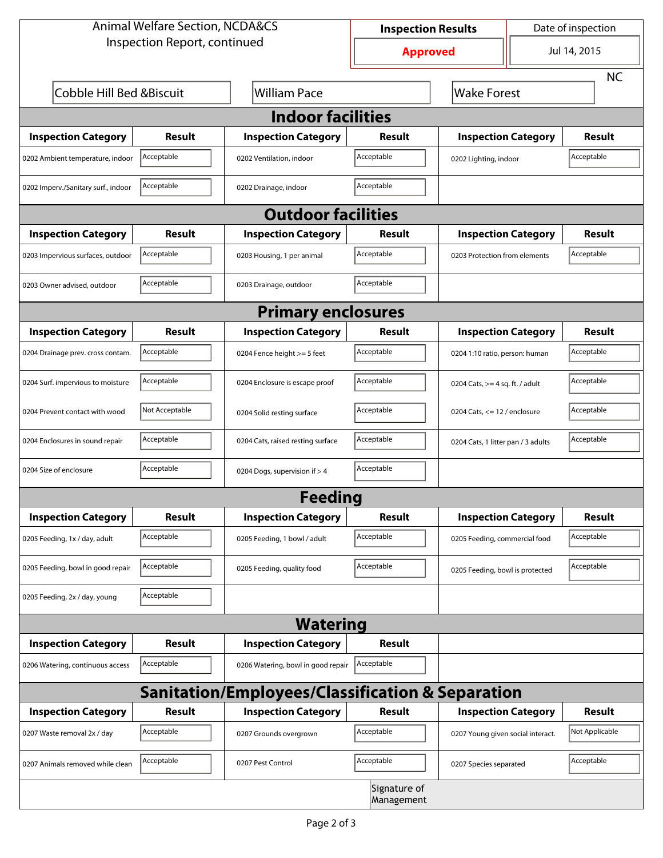| <b>Animal Welfare Section, NCDA&amp;CS</b> |                |                                                             | <b>Inspection Results</b>  |                                     | Date of inspection |                |  |  |  |
|--------------------------------------------|----------------|-------------------------------------------------------------|----------------------------|-------------------------------------|--------------------|----------------|--|--|--|
| Inspection Report, continued               |                |                                                             | <b>Approved</b>            |                                     | Jul 14, 2015       |                |  |  |  |
|                                            |                |                                                             |                            | <b>NC</b>                           |                    |                |  |  |  |
| Cobble Hill Bed & Biscuit                  |                | <b>William Pace</b>                                         |                            | <b>Wake Forest</b>                  |                    |                |  |  |  |
| <b>Indoor facilities</b>                   |                |                                                             |                            |                                     |                    |                |  |  |  |
| <b>Inspection Category</b>                 | Result         | <b>Inspection Category</b>                                  | Result                     | <b>Inspection Category</b>          |                    | <b>Result</b>  |  |  |  |
| 0202 Ambient temperature, indoor           | Acceptable     | 0202 Ventilation, indoor                                    | Acceptable                 | Acceptable<br>0202 Lighting, indoor |                    |                |  |  |  |
| 0202 Imperv./Sanitary surf., indoor        | Acceptable     | 0202 Drainage, indoor                                       | Acceptable                 |                                     |                    |                |  |  |  |
| <b>Outdoor facilities</b>                  |                |                                                             |                            |                                     |                    |                |  |  |  |
| <b>Inspection Category</b>                 | Result         | <b>Inspection Category</b>                                  | Result                     | <b>Inspection Category</b>          |                    | <b>Result</b>  |  |  |  |
| 0203 Impervious surfaces, outdoor          | Acceptable     | 0203 Housing, 1 per animal                                  | Acceptable                 | 0203 Protection from elements       |                    | Acceptable     |  |  |  |
| 0203 Owner advised, outdoor                | Acceptable     | 0203 Drainage, outdoor                                      | Acceptable                 |                                     |                    |                |  |  |  |
| <b>Primary enclosures</b>                  |                |                                                             |                            |                                     |                    |                |  |  |  |
| <b>Inspection Category</b>                 | Result         | <b>Inspection Category</b>                                  | Result                     | <b>Inspection Category</b>          |                    | Result         |  |  |  |
| 0204 Drainage prev. cross contam.          | Acceptable     | 0204 Fence height >= 5 feet                                 | Acceptable                 | 0204 1:10 ratio, person: human      |                    | Acceptable     |  |  |  |
| 0204 Surf. impervious to moisture          | Acceptable     | 0204 Enclosure is escape proof                              | Acceptable                 | 0204 Cats, $>=$ 4 sq. ft. / adult   |                    | Acceptable     |  |  |  |
| 0204 Prevent contact with wood             | Not Acceptable | 0204 Solid resting surface                                  | Acceptable                 | 0204 Cats, $<= 12$ / enclosure      |                    | Acceptable     |  |  |  |
| 0204 Enclosures in sound repair            | Acceptable     | 0204 Cats, raised resting surface                           | Acceptable                 | 0204 Cats, 1 litter pan / 3 adults  |                    | Acceptable     |  |  |  |
| 0204 Size of enclosure                     | Acceptable     | 0204 Dogs, supervision if > 4                               | Acceptable                 |                                     |                    |                |  |  |  |
| <b>Feeding</b>                             |                |                                                             |                            |                                     |                    |                |  |  |  |
| <b>Inspection Category</b>                 | <b>Result</b>  | <b>Inspection Category</b>                                  | Result                     | <b>Inspection Category</b>          |                    | <b>Result</b>  |  |  |  |
| 0205 Feeding, 1x / day, adult              | Acceptable     | 0205 Feeding, 1 bowl / adult                                | Acceptable                 | 0205 Feeding, commercial food       |                    | Acceptable     |  |  |  |
| 0205 Feeding, bowl in good repair          | Acceptable     | 0205 Feeding, quality food                                  | Acceptable                 | 0205 Feeding, bowl is protected     |                    | Acceptable     |  |  |  |
| 0205 Feeding, 2x / day, young              | Acceptable     |                                                             |                            |                                     |                    |                |  |  |  |
|                                            |                | <b>Watering</b>                                             |                            |                                     |                    |                |  |  |  |
| <b>Inspection Category</b>                 | <b>Result</b>  | <b>Inspection Category</b>                                  | Result                     |                                     |                    |                |  |  |  |
| 0206 Watering, continuous access           | Acceptable     | 0206 Watering, bowl in good repair                          | Acceptable                 |                                     |                    |                |  |  |  |
|                                            |                | <b>Sanitation/Employees/Classification &amp; Separation</b> |                            |                                     |                    |                |  |  |  |
| <b>Inspection Category</b>                 | <b>Result</b>  | <b>Inspection Category</b>                                  | Result                     | <b>Inspection Category</b>          |                    | <b>Result</b>  |  |  |  |
| 0207 Waste removal 2x / day                | Acceptable     | 0207 Grounds overgrown                                      | Acceptable                 | 0207 Young given social interact.   |                    | Not Applicable |  |  |  |
| 0207 Animals removed while clean           | Acceptable     | 0207 Pest Control                                           | Acceptable                 | 0207 Species separated              |                    | Acceptable     |  |  |  |
|                                            |                |                                                             | Signature of<br>Management |                                     |                    |                |  |  |  |